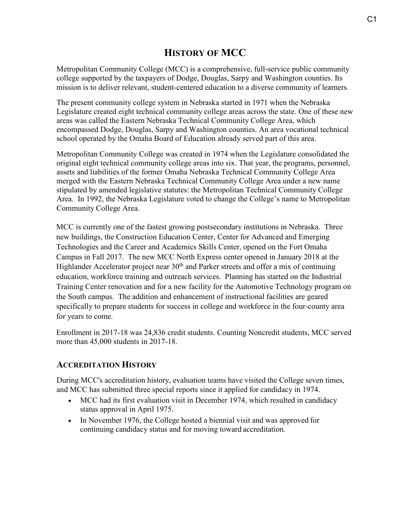# **HISTORY OF MCC**

Metropolitan Community College (MCC) is a comprehensive, full-service public community college supported by the taxpayers of Dodge, Douglas, Sarpy and Washington counties. Its mission is to deliver relevant, student-centered education to a diverse community of learners.

The present community college system in Nebraska started in 1971 when the Nebraska Legislature created eight technical community college areas across the state. One of these new areas was called the Eastern Nebraska Technical Community College Area, which encompassed Dodge, Douglas, Sarpy and Washington counties. An area vocational technical school operated by the Omaha Board of Education already served part of this area.

Metropolitan Community College was created in 1974 when the Legislature consolidated the original eight technical community college areas into six. That year, the programs, personnel, assets and liabilities of the former Omaha Nebraska Technical Community College Area merged with the Eastern Nebraska Technical Community College Area under a new name stipulated by amended legislative statutes: the Metropolitan Technical Community College Area. In 1992, the Nebraska Legislature voted to change the College's name to Metropolitan Community College Area.

MCC is currently one of the fastest growing postsecondary institutions in Nebraska. Three new buildings, the Construction Education Center, Center for Advanced and Emerging Technologies and the Career and Academics Skills Center, opened on the Fort Omaha Campus in Fall 2017. The new MCC North Express center opened in January 2018 at the Highlander Accelerator project near  $30<sup>th</sup>$  and Parker streets and offer a mix of continuing education, workforce training and outreach services. Planning has started on the Industrial Training Center renovation and for a new facility for the Automotive Technology program on the South campus. The addition and enhancement of instructional facilities are geared specifically to prepare students for success in college and workforce in the four-county area for years to come.

Enrollment in 2017-18 was 24,836 credit students. Counting Noncredit students, MCC served more than 45,000 students in 2017-18.

## **ACCREDITATION HISTORY**

During MCC's accreditation history, evaluation teams have visited the College seven times, and MCC has submitted three special reports since it applied for candidacy in 1974.

- MCC had its first evaluation visit in December 1974, which resulted in candidacy status approval in April 1975.
- In November 1976, the College hosted a biennial visit and was approved for continuing candidacy status and for moving toward accreditation.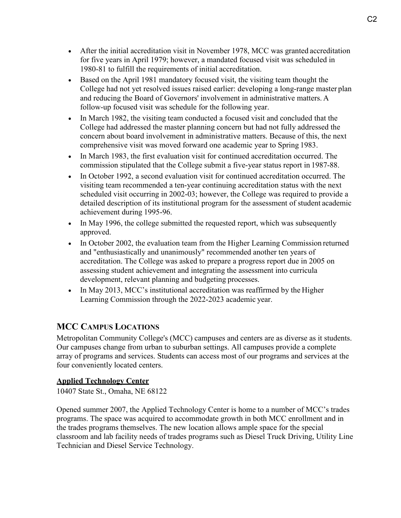- After the initial accreditation visit in November 1978, MCC was granted accreditation for five years in April 1979; however, a mandated focused visit was scheduled in 1980-81 to fulfill the requirements of initial accreditation.
- Based on the April 1981 mandatory focused visit, the visiting team thought the College had not yet resolved issues raised earlier: developing a long-range master plan and reducing the Board of Governors' involvement in administrative matters. A follow-up focused visit was schedule for the following year.
- In March 1982, the visiting team conducted a focused visit and concluded that the College had addressed the master planning concern but had not fully addressed the concern about board involvement in administrative matters. Because of this, the next comprehensive visit was moved forward one academic year to Spring 1983.
- In March 1983, the first evaluation visit for continued accreditation occurred. The commission stipulated that the College submit a five-year status report in 1987-88.
- In October 1992, a second evaluation visit for continued accreditation occurred. The visiting team recommended a ten-year continuing accreditation status with the next scheduled visit occurring in 2002-03; however, the College was required to provide a detailed description of its institutional program for the assessment of student academic achievement during 1995-96.
- In May 1996, the college submitted the requested report, which was subsequently approved.
- In October 2002, the evaluation team from the Higher Learning Commission returned and "enthusiastically and unanimously" recommended another ten years of accreditation. The College was asked to prepare a progress report due in 2005 on assessing student achievement and integrating the assessment into curricula development, relevant planning and budgeting processes.
- In May 2013, MCC's institutional accreditation was reaffirmed by the Higher Learning Commission through the 2022-2023 academic year.

## **MCC CAMPUS LOCATIONS**

Metropolitan Community College's (MCC) campuses and centers are as diverse as it students. Our campuses change from urban to suburban settings. All campuses provide a complete array of programs and services. Students can access most of our programs and services at the four conveniently located centers.

### **[Applied Technology Center](http://www.mccneb.edu/campuslocations/atc.asp)**

10407 State St., Omaha, NE 68122

Opened summer 2007, the Applied Technology Center is home to a number of MCC's trades programs. The space was acquired to accommodate growth in both MCC enrollment and in the trades programs themselves. The new location allows ample space for the special classroom and lab facility needs of trades programs such as Diesel Truck Driving, Utility Line Technician and Diesel Service Technology.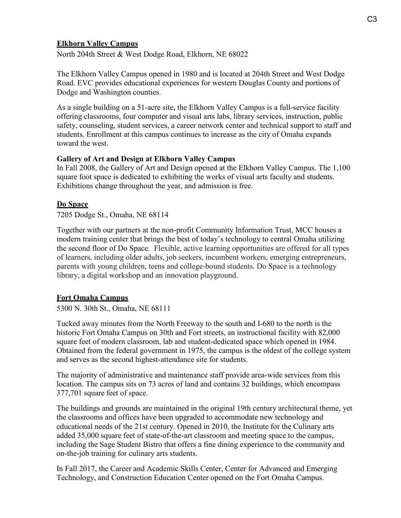#### **[Elkhorn Valley Campus](http://www.mccneb.edu/campuslocations/evc.asp)**

North 204th Street & West Dodge Road, Elkhorn, NE 68022

The Elkhorn Valley Campus opened in 1980 and is located at 204th Street and West Dodge Road. EVC provides educational experiences for western Douglas County and portions of Dodge and Washington counties.

As a single building on a 51-acre site, the Elkhorn Valley Campus is a full-service facility offering classrooms, four computer and visual arts labs, library services, instruction, public safety, counseling, student services, a career network center and technical support to staff and students. Enrollment at this campus continues to increase as the city of Omaha expands toward the west.

#### **Gallery of Art and Design at Elkhorn Valley Campus**

In Fall 2008, the Gallery of Art and Design opened at the Elkhorn Valley Campus. The 1,100 square foot space is dedicated to exhibiting the works of visual arts faculty and students. Exhibitions change throughout the year, and admission is free.

#### **Do Space**

7205 Dodge St., Omaha, NE 68114

Together with our partners at the non-profit Community Information Trust, MCC houses a modern training center that brings the best of today's technology to central Omaha utilizing the second floor of Do Space. Flexible, active learning opportunities are offered for all types of learners, including older adults, job seekers, incumbent workers, emerging entrepreneurs, parents with young children, teens and college-bound students. Do Space is a technology library, a digital workshop and an innovation playground.

#### **[Fort Omaha Campus](http://www.mccneb.edu/campuslocations/foc.asp)**

5300 N. 30th St., Omaha, NE 68111

Tucked away minutes from the North Freeway to the south and I-680 to the north is the historic Fort Omaha Campus on 30th and Fort streets, an instructional facility with 82,000 square feet of modern classroom, lab and student-dedicated space which opened in 1984. Obtained from the federal government in 1975, the campus is the oldest of the college system and serves as the second highest-attendance site for students.

The majority of administrative and maintenance staff provide area-wide services from this location. The campus sits on 73 acres of land and contains 32 buildings, which encompass 377,701 square feet of space.

The buildings and grounds are maintained in the original 19th century architectural theme, yet the classrooms and offices have been upgraded to accommodate new technology and educational needs of the 21st century. Opened in 2010, the Institute for the Culinary arts added 35,000 square feet of state-of-the-art classroom and meeting space to the campus, including the Sage Student Bistro that offers a fine dining experience to the community and on-the-job training for culinary arts students.

In Fall 2017, the Career and Academic Skills Center, Center for Advanced and Emerging Technology, and Construction Education Center opened on the Fort Omaha Campus.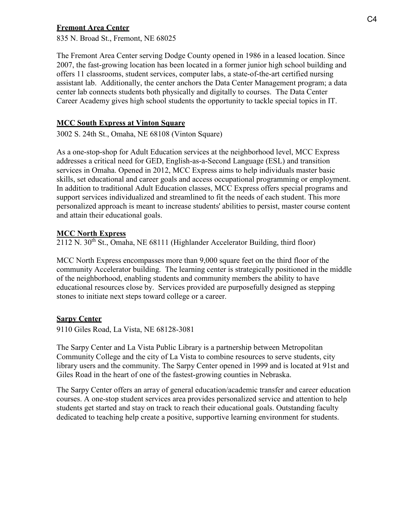#### **[Fremont Area Center](http://www.mccneb.edu/campuslocations/frc.asp)**

835 N. Broad St., Fremont, NE 68025

The Fremont Area Center serving Dodge County opened in 1986 in a leased location. Since 2007, the fast-growing location has been located in a former junior high school building and offers 11 classrooms, student services, computer labs, a state-of-the-art certified nursing assistant lab. Additionally, the center anchors the Data Center Management program; a data center lab connects students both physically and digitally to courses. The Data Center Career Academy gives high school students the opportunity to tackle special topics in IT.

#### **MCC South [Express at Vinton Square](http://www.mccneb.edu/campuslocations/maps/MCC%20Express%20floorplan%20and%20map.pdf)**

3002 S. 24th St., Omaha, NE 68108 (Vinton Square)

As a one-stop-shop for Adult Education services at the neighborhood level, MCC Express addresses a critical need for GED, English-as-a-Second Language (ESL) and transition services in Omaha. Opened in 2012, MCC Express aims to help individuals master basic skills, set educational and career goals and access occupational programming or employment. In addition to traditional Adult Education classes, MCC Express offers special programs and support services individualized and streamlined to fit the needs of each student. This more personalized approach is meant to increase students' abilities to persist, master course content and attain their educational goals.

#### **MCC North Express**

 $2112$  N. 30<sup>th</sup> St., Omaha, NE 68111 (Highlander Accelerator Building, third floor)

MCC North Express encompasses more than 9,000 square feet on the third floor of the community Accelerator building. The learning center is strategically positioned in the middle of the neighborhood, enabling students and community members the ability to have educational resources close by. Services provided are purposefully designed as stepping stones to initiate next steps toward college or a career.

#### **Sarpy Center**

9110 Giles Road, La Vista, NE 68128-3081

The Sarpy Center and La Vista Public Library is a partnership between Metropolitan Community College and the city of La Vista to combine resources to serve students, city library users and the community. The Sarpy Center opened in 1999 and is located at 91st and Giles Road in the heart of one of the fastest-growing counties in Nebraska.

The Sarpy Center offers an array of general education/academic transfer and career education courses. A one-stop student services area provides personalized service and attention to help students get started and stay on track to reach their educational goals. Outstanding faculty dedicated to teaching help create a positive, supportive learning environment for students.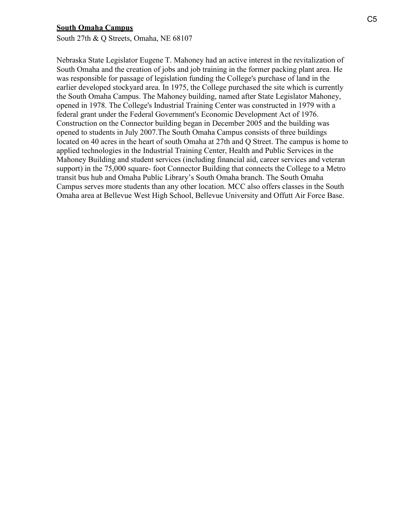#### **[South Omaha Campus](http://www.mccneb.edu/campuslocations/soc.asp)**

South 27th & Q Streets, Omaha, NE 68107

Nebraska State Legislator Eugene T. Mahoney had an active interest in the revitalization of South Omaha and the creation of jobs and job training in the former packing plant area. He was responsible for passage of legislation funding the College's purchase of land in the earlier developed stockyard area. In 1975, the College purchased the site which is currently the South Omaha Campus. The Mahoney building, named after State Legislator Mahoney, opened in 1978. The College's Industrial Training Center was constructed in 1979 with a federal grant under the Federal Government's Economic Development Act of 1976. Construction on the Connector building began in December 2005 and the building was opened to students in July 2007.The South Omaha Campus consists of three buildings located on 40 acres in the heart of south Omaha at 27th and Q Street. The campus is home to applied technologies in the Industrial Training Center, Health and Public Services in the Mahoney Building and student services (including financial aid, career services and veteran support) in the 75,000 square- foot Connector Building that connects the College to a Metro transit bus hub and Omaha Public Library's South Omaha branch. The South Omaha Campus serves more students than any other location. MCC also offers classes in the South Omaha area at Bellevue West High School, Bellevue University and Offutt Air Force Base.